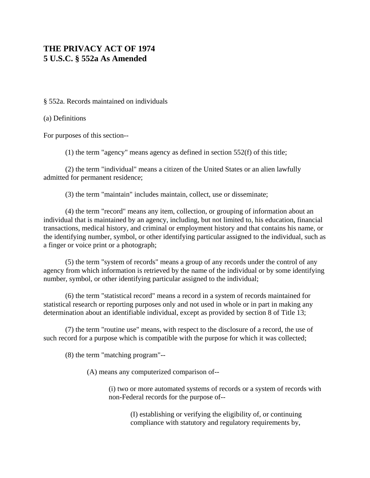## **THE PRIVACY ACT OF 1974 5 U.S.C. § 552a As Amended**

§ 552a. Records maintained on individuals

(a) Definitions

For purposes of this section--

(1) the term "agency" means agency as defined in section 552(f) of this title;

(2) the term "individual" means a citizen of the United States or an alien lawfully admitted for permanent residence;

(3) the term "maintain" includes maintain, collect, use or disseminate;

(4) the term "record" means any item, collection, or grouping of information about an individual that is maintained by an agency, including, but not limited to, his education, financial transactions, medical history, and criminal or employment history and that contains his name, or the identifying number, symbol, or other identifying particular assigned to the individual, such as a finger or voice print or a photograph;

(5) the term "system of records" means a group of any records under the control of any agency from which information is retrieved by the name of the individual or by some identifying number, symbol, or other identifying particular assigned to the individual;

(6) the term "statistical record" means a record in a system of records maintained for statistical research or reporting purposes only and not used in whole or in part in making any determination about an identifiable individual, except as provided by section 8 of Title 13;

(7) the term "routine use" means, with respect to the disclosure of a record, the use of such record for a purpose which is compatible with the purpose for which it was collected;

(8) the term "matching program"--

(A) means any computerized comparison of--

(i) two or more automated systems of records or a system of records with non-Federal records for the purpose of--

> (I) establishing or verifying the eligibility of, or continuing compliance with statutory and regulatory requirements by,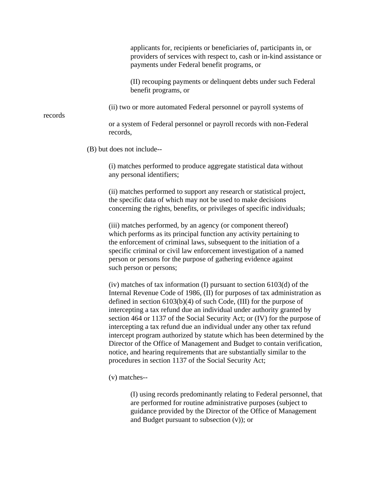applicants for, recipients or beneficiaries of, participants in, or providers of services with respect to, cash or in-kind assistance or payments under Federal benefit programs, or

(II) recouping payments or delinquent debts under such Federal benefit programs, or

(ii) two or more automated Federal personnel or payroll systems of

or a system of Federal personnel or payroll records with non-Federal records,

(B) but does not include--

(i) matches performed to produce aggregate statistical data without any personal identifiers;

(ii) matches performed to support any research or statistical project, the specific data of which may not be used to make decisions concerning the rights, benefits, or privileges of specific individuals;

(iii) matches performed, by an agency (or component thereof) which performs as its principal function any activity pertaining to the enforcement of criminal laws, subsequent to the initiation of a specific criminal or civil law enforcement investigation of a named person or persons for the purpose of gathering evidence against such person or persons;

(iv) matches of tax information (I) pursuant to section  $6103(d)$  of the Internal Revenue Code of 1986, (II) for purposes of tax administration as defined in section 6103(b)(4) of such Code, (III) for the purpose of intercepting a tax refund due an individual under authority granted by section 464 or 1137 of the Social Security Act; or (IV) for the purpose of intercepting a tax refund due an individual under any other tax refund intercept program authorized by statute which has been determined by the Director of the Office of Management and Budget to contain verification, notice, and hearing requirements that are substantially similar to the procedures in section 1137 of the Social Security Act;

(v) matches--

(I) using records predominantly relating to Federal personnel, that are performed for routine administrative purposes (subject to guidance provided by the Director of the Office of Management and Budget pursuant to subsection (v)); or

records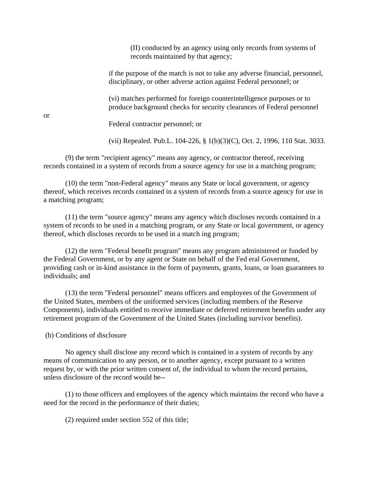(II) conducted by an agency using only records from systems of records maintained by that agency;

if the purpose of the match is not to take any adverse financial, personnel, disciplinary, or other adverse action against Federal personnel; or

(vi) matches performed for foreign counterintelligence purposes or to produce background checks for security clearances of Federal personnel

Federal contractor personnel; or

(vii) Repealed. Pub.L. 104-226, § 1(b)(3)(C), Oct. 2, 1996, 110 Stat. 3033.

(9) the term "recipient agency" means any agency, or contractor thereof, receiving records contained in a system of records from a source agency for use in a matching program;

(10) the term "non-Federal agency" means any State or local government, or agency thereof, which receives records contained in a system of records from a source agency for use in a matching program;

(11) the term "source agency" means any agency which discloses records contained in a system of records to be used in a matching program, or any State or local government, or agency thereof, which discloses records to be used in a match ing program;

(12) the term "Federal benefit program" means any program administered or funded by the Federal Government, or by any agent or State on behalf of the Fed eral Government, providing cash or in-kind assistance in the form of payments, grants, loans, or loan guarantees to individuals; and

(13) the term "Federal personnel" means officers and employees of the Government of the United States, members of the uniformed services (including members of the Reserve Components), individuals entitled to receive immediate or deferred retirement benefits under any retirement program of the Government of the United States (including survivor benefits).

#### (b) Conditions of disclosure

No agency shall disclose any record which is contained in a system of records by any means of communication to any person, or to another agency, except pursuant to a written request by, or with the prior written consent of, the individual to whom the record pertains, unless disclosure of the record would be--

(1) to those officers and employees of the agency which maintains the record who have a need for the record in the performance of their duties;

(2) required under section 552 of this title;

or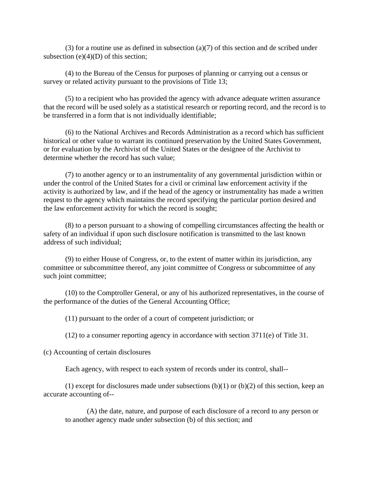(3) for a routine use as defined in subsection (a)(7) of this section and de scribed under subsection (e) $(4)(D)$  of this section;

(4) to the Bureau of the Census for purposes of planning or carrying out a census or survey or related activity pursuant to the provisions of Title 13;

(5) to a recipient who has provided the agency with advance adequate written assurance that the record will be used solely as a statistical research or reporting record, and the record is to be transferred in a form that is not individually identifiable;

(6) to the National Archives and Records Administration as a record which has sufficient historical or other value to warrant its continued preservation by the United States Government, or for evaluation by the Archivist of the United States or the designee of the Archivist to determine whether the record has such value;

(7) to another agency or to an instrumentality of any governmental jurisdiction within or under the control of the United States for a civil or criminal law enforcement activity if the activity is authorized by law, and if the head of the agency or instrumentality has made a written request to the agency which maintains the record specifying the particular portion desired and the law enforcement activity for which the record is sought;

(8) to a person pursuant to a showing of compelling circumstances affecting the health or safety of an individual if upon such disclosure notification is transmitted to the last known address of such individual;

(9) to either House of Congress, or, to the extent of matter within its jurisdiction, any committee or subcommittee thereof, any joint committee of Congress or subcommittee of any such joint committee;

(10) to the Comptroller General, or any of his authorized representatives, in the course of the performance of the duties of the General Accounting Office;

(11) pursuant to the order of a court of competent jurisdiction; or

(12) to a consumer reporting agency in accordance with section 3711(e) of Title 31.

(c) Accounting of certain disclosures

Each agency, with respect to each system of records under its control, shall--

(1) except for disclosures made under subsections  $(b)(1)$  or  $(b)(2)$  of this section, keep an accurate accounting of--

(A) the date, nature, and purpose of each disclosure of a record to any person or to another agency made under subsection (b) of this section; and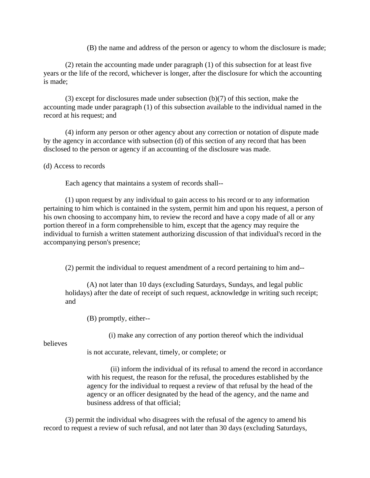(B) the name and address of the person or agency to whom the disclosure is made;

(2) retain the accounting made under paragraph (1) of this subsection for at least five years or the life of the record, whichever is longer, after the disclosure for which the accounting is made;

(3) except for disclosures made under subsection (b)(7) of this section, make the accounting made under paragraph (1) of this subsection available to the individual named in the record at his request; and

(4) inform any person or other agency about any correction or notation of dispute made by the agency in accordance with subsection (d) of this section of any record that has been disclosed to the person or agency if an accounting of the disclosure was made.

(d) Access to records

Each agency that maintains a system of records shall--

(1) upon request by any individual to gain access to his record or to any information pertaining to him which is contained in the system, permit him and upon his request, a person of his own choosing to accompany him, to review the record and have a copy made of all or any portion thereof in a form comprehensible to him, except that the agency may require the individual to furnish a written statement authorizing discussion of that individual's record in the accompanying person's presence;

(2) permit the individual to request amendment of a record pertaining to him and--

(A) not later than 10 days (excluding Saturdays, Sundays, and legal public holidays) after the date of receipt of such request, acknowledge in writing such receipt; and

(B) promptly, either--

(i) make any correction of any portion thereof which the individual

believes

is not accurate, relevant, timely, or complete; or

 (ii) inform the individual of its refusal to amend the record in accordance with his request, the reason for the refusal, the procedures established by the agency for the individual to request a review of that refusal by the head of the agency or an officer designated by the head of the agency, and the name and business address of that official;

(3) permit the individual who disagrees with the refusal of the agency to amend his record to request a review of such refusal, and not later than 30 days (excluding Saturdays,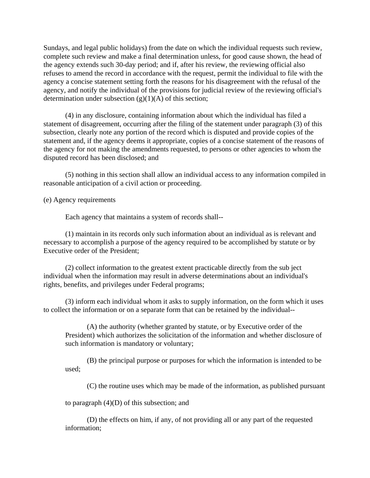Sundays, and legal public holidays) from the date on which the individual requests such review, complete such review and make a final determination unless, for good cause shown, the head of the agency extends such 30-day period; and if, after his review, the reviewing official also refuses to amend the record in accordance with the request, permit the individual to file with the agency a concise statement setting forth the reasons for his disagreement with the refusal of the agency, and notify the individual of the provisions for judicial review of the reviewing official's determination under subsection  $(g)(1)(A)$  of this section;

(4) in any disclosure, containing information about which the individual has filed a statement of disagreement, occurring after the filing of the statement under paragraph (3) of this subsection, clearly note any portion of the record which is disputed and provide copies of the statement and, if the agency deems it appropriate, copies of a concise statement of the reasons of the agency for not making the amendments requested, to persons or other agencies to whom the disputed record has been disclosed; and

(5) nothing in this section shall allow an individual access to any information compiled in reasonable anticipation of a civil action or proceeding.

(e) Agency requirements

Each agency that maintains a system of records shall--

(1) maintain in its records only such information about an individual as is relevant and necessary to accomplish a purpose of the agency required to be accomplished by statute or by Executive order of the President;

(2) collect information to the greatest extent practicable directly from the sub ject individual when the information may result in adverse determinations about an individual's rights, benefits, and privileges under Federal programs;

(3) inform each individual whom it asks to supply information, on the form which it uses to collect the information or on a separate form that can be retained by the individual--

(A) the authority (whether granted by statute, or by Executive order of the President) which authorizes the solicitation of the information and whether disclosure of such information is mandatory or voluntary;

(B) the principal purpose or purposes for which the information is intended to be used;

(C) the routine uses which may be made of the information, as published pursuant

to paragraph (4)(D) of this subsection; and

(D) the effects on him, if any, of not providing all or any part of the requested information;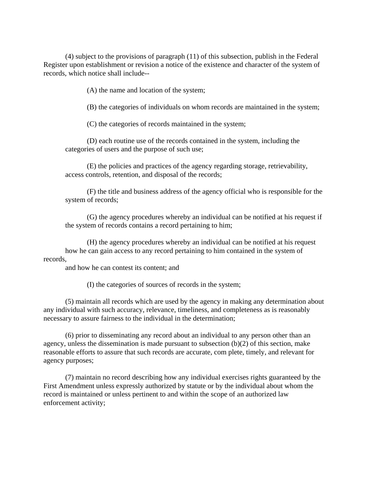(4) subject to the provisions of paragraph (11) of this subsection, publish in the Federal Register upon establishment or revision a notice of the existence and character of the system of records, which notice shall include--

(A) the name and location of the system;

(B) the categories of individuals on whom records are maintained in the system;

(C) the categories of records maintained in the system;

(D) each routine use of the records contained in the system, including the categories of users and the purpose of such use;

(E) the policies and practices of the agency regarding storage, retrievability, access controls, retention, and disposal of the records;

(F) the title and business address of the agency official who is responsible for the system of records;

(G) the agency procedures whereby an individual can be notified at his request if the system of records contains a record pertaining to him;

(H) the agency procedures whereby an individual can be notified at his request how he can gain access to any record pertaining to him contained in the system of records,

and how he can contest its content; and

(I) the categories of sources of records in the system;

(5) maintain all records which are used by the agency in making any determination about any individual with such accuracy, relevance, timeliness, and completeness as is reasonably necessary to assure fairness to the individual in the determination;

(6) prior to disseminating any record about an individual to any person other than an agency, unless the dissemination is made pursuant to subsection (b)(2) of this section, make reasonable efforts to assure that such records are accurate, com plete, timely, and relevant for agency purposes;

(7) maintain no record describing how any individual exercises rights guaranteed by the First Amendment unless expressly authorized by statute or by the individual about whom the record is maintained or unless pertinent to and within the scope of an authorized law enforcement activity;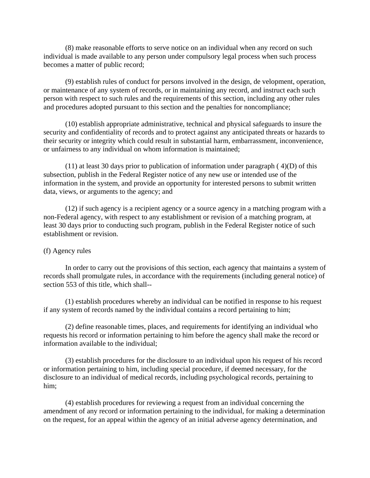(8) make reasonable efforts to serve notice on an individual when any record on such individual is made available to any person under compulsory legal process when such process becomes a matter of public record;

(9) establish rules of conduct for persons involved in the design, de velopment, operation, or maintenance of any system of records, or in maintaining any record, and instruct each such person with respect to such rules and the requirements of this section, including any other rules and procedures adopted pursuant to this section and the penalties for noncompliance;

(10) establish appropriate administrative, technical and physical safeguards to insure the security and confidentiality of records and to protect against any anticipated threats or hazards to their security or integrity which could result in substantial harm, embarrassment, inconvenience, or unfairness to any individual on whom information is maintained;

(11) at least 30 days prior to publication of information under paragraph  $(4)(D)$  of this subsection, publish in the Federal Register notice of any new use or intended use of the information in the system, and provide an opportunity for interested persons to submit written data, views, or arguments to the agency; and

(12) if such agency is a recipient agency or a source agency in a matching program with a non-Federal agency, with respect to any establishment or revision of a matching program, at least 30 days prior to conducting such program, publish in the Federal Register notice of such establishment or revision.

#### (f) Agency rules

In order to carry out the provisions of this section, each agency that maintains a system of records shall promulgate rules, in accordance with the requirements (including general notice) of section 553 of this title, which shall--

(1) establish procedures whereby an individual can be notified in response to his request if any system of records named by the individual contains a record pertaining to him;

(2) define reasonable times, places, and requirements for identifying an individual who requests his record or information pertaining to him before the agency shall make the record or information available to the individual;

(3) establish procedures for the disclosure to an individual upon his request of his record or information pertaining to him, including special procedure, if deemed necessary, for the disclosure to an individual of medical records, including psychological records, pertaining to him;

(4) establish procedures for reviewing a request from an individual concerning the amendment of any record or information pertaining to the individual, for making a determination on the request, for an appeal within the agency of an initial adverse agency determination, and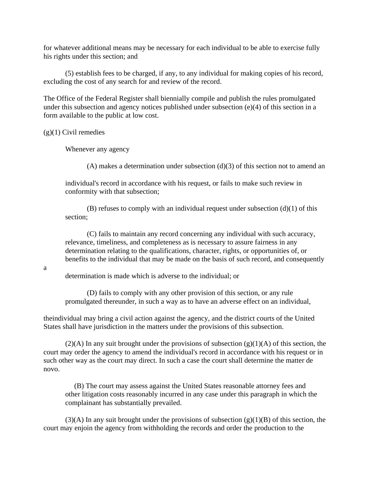for whatever additional means may be necessary for each individual to be able to exercise fully his rights under this section; and

(5) establish fees to be charged, if any, to any individual for making copies of his record, excluding the cost of any search for and review of the record.

The Office of the Federal Register shall biennially compile and publish the rules promulgated under this subsection and agency notices published under subsection (e)(4) of this section in a form available to the public at low cost.

 $(g)(1)$  Civil remedies

Whenever any agency

 $(A)$  makes a determination under subsection  $(d)(3)$  of this section not to amend an

individual's record in accordance with his request, or fails to make such review in conformity with that subsection;

(B) refuses to comply with an individual request under subsection  $(d)(1)$  of this section;

(C) fails to maintain any record concerning any individual with such accuracy, relevance, timeliness, and completeness as is necessary to assure fairness in any determination relating to the qualifications, character, rights, or opportunities of, or benefits to the individual that may be made on the basis of such record, and consequently

a

determination is made which is adverse to the individual; or

(D) fails to comply with any other provision of this section, or any rule promulgated thereunder, in such a way as to have an adverse effect on an individual,

theindividual may bring a civil action against the agency, and the district courts of the United States shall have jurisdiction in the matters under the provisions of this subsection.

 $(2)(A)$  In any suit brought under the provisions of subsection  $(g)(1)(A)$  of this section, the court may order the agency to amend the individual's record in accordance with his request or in such other way as the court may direct. In such a case the court shall determine the matter de novo.

 (B) The court may assess against the United States reasonable attorney fees and other litigation costs reasonably incurred in any case under this paragraph in which the complainant has substantially prevailed.

 $(3)(A)$  In any suit brought under the provisions of subsection  $(g)(1)(B)$  of this section, the court may enjoin the agency from withholding the records and order the production to the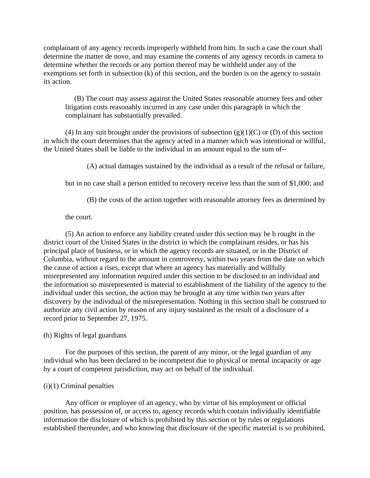complainant of any agency records improperly withheld from him. In such a case the court shall determine the matter de novo, and may examine the contents of any agency records in camera to determine whether the records or any portion thereof may be withheld under any of the exemptions set forth in subsection (k) of this section, and the burden is on the agency to sustain its action.

 (B) The court may assess against the United States reasonable attorney fees and other litigation costs reasonably incurred in any case under this paragraph in which the complainant has substantially prevailed.

(4) In any suit brought under the provisions of subsection  $(g)(1)(C)$  or  $(D)$  of this section in which the court determines that the agency acted in a manner which was intentional or willful, the United States shall be liable to the individual in an amount equal to the sum of--

(A) actual damages sustained by the individual as a result of the refusal or failure,

but in no case shall a person entitled to recovery receive less than the sum of \$1,000; and

(B) the costs of the action together with reasonable attorney fees as determined by

#### the court.

(5) An action to enforce any liability created under this section may be b rought in the district court of the United States in the district in which the complainant resides, or has his principal place of business, or in which the agency records are situated, or in the District of Columbia, without regard to the amount in controversy, within two years from the date on which the cause of action a rises, except that where an agency has materially and willfully misrepresented any information required under this section to be disclosed to an individual and the information so misrepresented is material to establishment of the liability of the agency to the individual under this section, the action may be brought at any time within two years after discovery by the individual of the misrepresentation. Nothing in this section shall be construed to authorize any civil action by reason of any injury sustained as the result of a disclosure of a record prior to September 27, 1975.

#### (h) Rights of legal guardians

For the purposes of this section, the parent of any minor, or the legal guardian of any individual who has been declared to be incompetent due to physical or mental incapacity or age by a court of competent jurisdiction, may act on behalf of the individual.

#### $(i)(1)$  Criminal penalties

Any officer or employee of an agency, who by virtue of his employment or official position, has possession of, or access to, agency records which contain individually identifiable information the disclosure of which is prohibited by this section or by rules or regulations established thereunder, and who knowing that disclosure of the specific material is so prohibited,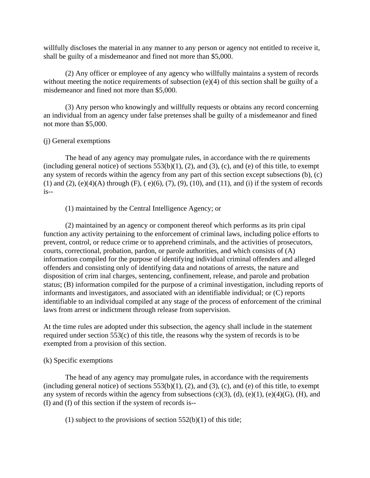willfully discloses the material in any manner to any person or agency not entitled to receive it, shall be guilty of a misdemeanor and fined not more than \$5,000.

(2) Any officer or employee of any agency who willfully maintains a system of records without meeting the notice requirements of subsection (e)(4) of this section shall be guilty of a misdemeanor and fined not more than \$5,000.

(3) Any person who knowingly and willfully requests or obtains any record concerning an individual from an agency under false pretenses shall be guilty of a misdemeanor and fined not more than \$5,000.

### (j) General exemptions

The head of any agency may promulgate rules, in accordance with the re quirements (including general notice) of sections  $553(b)(1)$ , (2), and (3), (c), and (e) of this title, to exempt any system of records within the agency from any part of this section except subsections (b), (c) (1) and (2), (e)(4)(A) through (F), (e)(6), (7), (9), (10), and (11), and (i) if the system of records  $i<sub>s-</sub>$ 

(1) maintained by the Central Intelligence Agency; or

(2) maintained by an agency or component thereof which performs as its prin cipal function any activity pertaining to the enforcement of criminal laws, including police efforts to prevent, control, or reduce crime or to apprehend criminals, and the activities of prosecutors, courts, correctional, probation, pardon, or parole authorities, and which consists of (A) information compiled for the purpose of identifying individual criminal offenders and alleged offenders and consisting only of identifying data and notations of arrests, the nature and disposition of crim inal charges, sentencing, confinement, release, and parole and probation status; (B) information compiled for the purpose of a criminal investigation, including reports of informants and investigators, and associated with an identifiable individual; or (C) reports identifiable to an individual compiled at any stage of the process of enforcement of the criminal laws from arrest or indictment through release from supervision.

At the time rules are adopted under this subsection, the agency shall include in the statement required under section 553(c) of this title, the reasons why the system of records is to be exempted from a provision of this section.

## (k) Specific exemptions

The head of any agency may promulgate rules, in accordance with the requirements (including general notice) of sections  $553(b)(1)$ , (2), and (3), (c), and (e) of this title, to exempt any system of records within the agency from subsections  $(c)(3)$ ,  $(d)$ ,  $(e)(1)$ ,  $(e)(4)(G)$ ,  $(H)$ , and (I) and (f) of this section if the system of records is--

(1) subject to the provisions of section  $552(b)(1)$  of this title;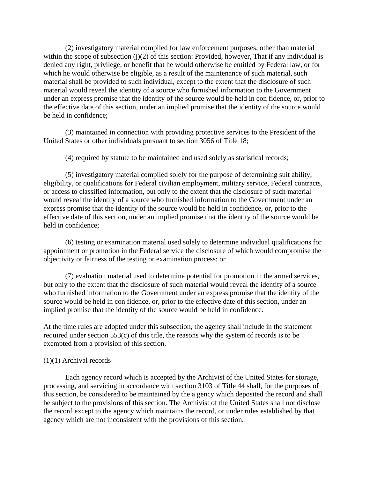(2) investigatory material compiled for law enforcement purposes, other than material within the scope of subsection (j)(2) of this section: Provided, however, That if any individual is denied any right, privilege, or benefit that he would otherwise be entitled by Federal law, or for which he would otherwise be eligible, as a result of the maintenance of such material, such material shall be provided to such individual, except to the extent that the disclosure of such material would reveal the identity of a source who furnished information to the Government under an express promise that the identity of the source would be held in con fidence, or, prior to the effective date of this section, under an implied promise that the identity of the source would be held in confidence;

(3) maintained in connection with providing protective services to the President of the United States or other individuals pursuant to section 3056 of Title 18;

(4) required by statute to be maintained and used solely as statistical records;

(5) investigatory material compiled solely for the purpose of determining suit ability, eligibility, or qualifications for Federal civilian employment, military service, Federal contracts, or access to classified information, but only to the extent that the disclosure of such material would reveal the identity of a source who furnished information to the Government under an express promise that the identity of the source would be held in confidence, or, prior to the effective date of this section, under an implied promise that the identity of the source would be held in confidence;

(6) testing or examination material used solely to determine individual qualifications for appointment or promotion in the Federal service the disclosure of which would compromise the objectivity or fairness of the testing or examination process; or

(7) evaluation material used to determine potential for promotion in the armed services, but only to the extent that the disclosure of such material would reveal the identity of a source who furnished information to the Government under an express promise that the identity of the source would be held in con fidence, or, prior to the effective date of this section, under an implied promise that the identity of the source would be held in confidence.

At the time rules are adopted under this subsection, the agency shall include in the statement required under section 553(c) of this title, the reasons why the system of records is to be exempted from a provision of this section.

#### (1)(1) Archival records

Each agency record which is accepted by the Archivist of the United States for storage, processing, and servicing in accordance with section 3103 of Title 44 shall, for the purposes of this section, be considered to be maintained by the a gency which deposited the record and shall be subject to the provisions of this section. The Archivist of the United States shall not disclose the record except to the agency which maintains the record, or under rules established by that agency which are not inconsistent with the provisions of this section.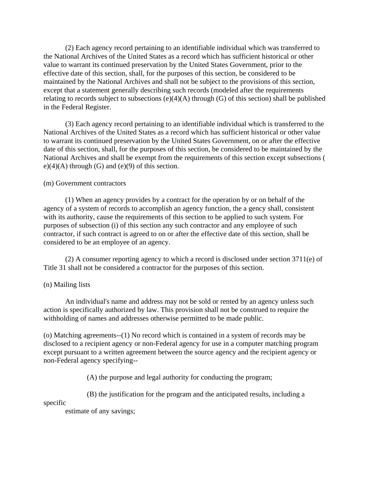(2) Each agency record pertaining to an identifiable individual which was transferred to the National Archives of the United States as a record which has sufficient historical or other value to warrant its continued preservation by the United States Government, prior to the effective date of this section, shall, for the purposes of this section, be considered to be maintained by the National Archives and shall not be subject to the provisions of this section, except that a statement generally describing such records (modeled after the requirements relating to records subject to subsections  $(e)(4)(A)$  through  $(G)$  of this section) shall be published in the Federal Register.

(3) Each agency record pertaining to an identifiable individual which is transferred to the National Archives of the United States as a record which has sufficient historical or other value to warrant its continued preservation by the United States Government, on or after the effective date of this section, shall, for the purposes of this section, be considered to be maintained by the National Archives and shall be exempt from the requirements of this section except subsections (  $e)(4)$ (A) through (G) and (e)(9) of this section.

#### (m) Government contractors

(1) When an agency provides by a contract for the operation by or on behalf of the agency of a system of records to accomplish an agency function, the a gency shall, consistent with its authority, cause the requirements of this section to be applied to such system. For purposes of subsection (i) of this section any such contractor and any employee of such contractor, if such contract is agreed to on or after the effective date of this section, shall be considered to be an employee of an agency.

(2) A consumer reporting agency to which a record is disclosed under section 3711(e) of Title 31 shall not be considered a contractor for the purposes of this section.

#### (n) Mailing lists

An individual's name and address may not be sold or rented by an agency unless such action is specifically authorized by law. This provision shall not be construed to require the withholding of names and addresses otherwise permitted to be made public.

(o) Matching agreements--(1) No record which is contained in a system of records may be disclosed to a recipient agency or non-Federal agency for use in a computer matching program except pursuant to a written agreement between the source agency and the recipient agency or non-Federal agency specifying--

(A) the purpose and legal authority for conducting the program;

(B) the justification for the program and the anticipated results, including a

specific

estimate of any savings;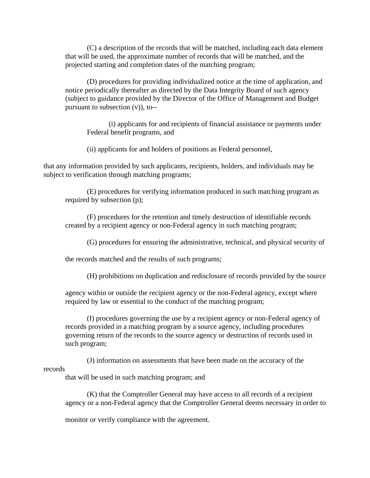(C) a description of the records that will be matched, including each data element that will be used, the approximate number of records that will be matched, and the projected starting and completion dates of the matching program;

(D) procedures for providing individualized notice at the time of application, and notice periodically thereafter as directed by the Data Integrity Board of such agency (subject to guidance provided by the Director of the Office of Management and Budget pursuant to subsection (v)), to--

(i) applicants for and recipients of financial assistance or payments under Federal benefit programs, and

(ii) applicants for and holders of positions as Federal personnel,

that any information provided by such applicants, recipients, holders, and individuals may be subject to verification through matching programs;

(E) procedures for verifying information produced in such matching program as required by subsection (p);

(F) procedures for the retention and timely destruction of identifiable records created by a recipient agency or non-Federal agency in such matching program;

(G) procedures for ensuring the administrative, technical, and physical security of

the records matched and the results of such programs;

(H) prohibitions on duplication and redisclosure of records provided by the source

agency within or outside the recipient agency or the non-Federal agency, except where required by law or essential to the conduct of the matching program;

(I) procedures governing the use by a recipient agency or non-Federal agency of records provided in a matching program by a source agency, including procedures governing return of the records to the source agency or destruction of records used in such program;

(J) information on assessments that have been made on the accuracy of the records

#### that will be used in such matching program; and

(K) that the Comptroller General may have access to all records of a recipient agency or a non-Federal agency that the Comptroller General deems necessary in order to

monitor or verify compliance with the agreement.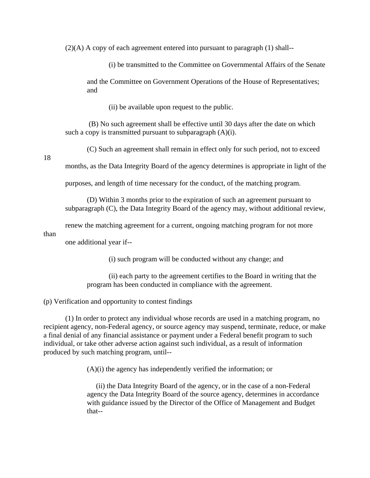$(2)(A)$  A copy of each agreement entered into pursuant to paragraph  $(1)$  shall--

(i) be transmitted to the Committee on Governmental Affairs of the Senate

and the Committee on Government Operations of the House of Representatives; and

(ii) be available upon request to the public.

 (B) No such agreement shall be effective until 30 days after the date on which such a copy is transmitted pursuant to subparagraph  $(A)(i)$ .

(C) Such an agreement shall remain in effect only for such period, not to exceed

18

months, as the Data Integrity Board of the agency determines is appropriate in light of the

purposes, and length of time necessary for the conduct, of the matching program.

(D) Within 3 months prior to the expiration of such an agreement pursuant to subparagraph (C), the Data Integrity Board of the agency may, without additional review,

renew the matching agreement for a current, ongoing matching program for not more

than

one additional year if--

(i) such program will be conducted without any change; and

(ii) each party to the agreement certifies to the Board in writing that the program has been conducted in compliance with the agreement.

(p) Verification and opportunity to contest findings

(1) In order to protect any individual whose records are used in a matching program, no recipient agency, non-Federal agency, or source agency may suspend, terminate, reduce, or make a final denial of any financial assistance or payment under a Federal benefit program to such individual, or take other adverse action against such individual, as a result of information produced by such matching program, until--

(A)(i) the agency has independently verified the information; or

 (ii) the Data Integrity Board of the agency, or in the case of a non-Federal agency the Data Integrity Board of the source agency, determines in accordance with guidance issued by the Director of the Office of Management and Budget that--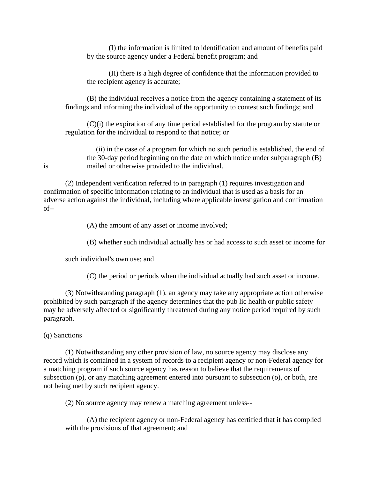(I) the information is limited to identification and amount of benefits paid by the source agency under a Federal benefit program; and

(II) there is a high degree of confidence that the information provided to the recipient agency is accurate;

(B) the individual receives a notice from the agency containing a statement of its findings and informing the individual of the opportunity to contest such findings; and

(C)(i) the expiration of any time period established for the program by statute or regulation for the individual to respond to that notice; or

 (ii) in the case of a program for which no such period is established, the end of the 30-day period beginning on the date on which notice under subparagraph (B) is mailed or otherwise provided to the individual.

(2) Independent verification referred to in paragraph (1) requires investigation and confirmation of specific information relating to an individual that is used as a basis for an adverse action against the individual, including where applicable investigation and confirmation of--

(A) the amount of any asset or income involved;

(B) whether such individual actually has or had access to such asset or income for

such individual's own use; and

(C) the period or periods when the individual actually had such asset or income.

(3) Notwithstanding paragraph (1), an agency may take any appropriate action otherwise prohibited by such paragraph if the agency determines that the pub lic health or public safety may be adversely affected or significantly threatened during any notice period required by such paragraph.

#### (q) Sanctions

(1) Notwithstanding any other provision of law, no source agency may disclose any record which is contained in a system of records to a recipient agency or non-Federal agency for a matching program if such source agency has reason to believe that the requirements of subsection (p), or any matching agreement entered into pursuant to subsection (o), or both, are not being met by such recipient agency.

(2) No source agency may renew a matching agreement unless--

(A) the recipient agency or non-Federal agency has certified that it has complied with the provisions of that agreement; and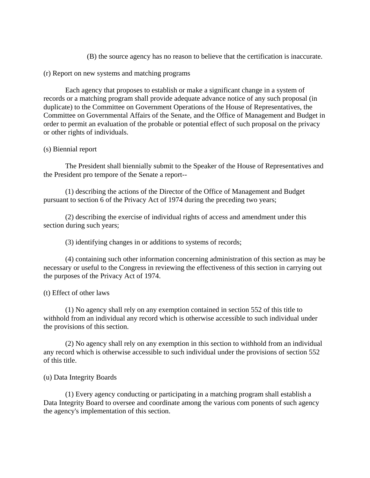(B) the source agency has no reason to believe that the certification is inaccurate.

#### (r) Report on new systems and matching programs

Each agency that proposes to establish or make a significant change in a system of records or a matching program shall provide adequate advance notice of any such proposal (in duplicate) to the Committee on Government Operations of the House of Representatives, the Committee on Governmental Affairs of the Senate, and the Office of Management and Budget in order to permit an evaluation of the probable or potential effect of such proposal on the privacy or other rights of individuals.

#### (s) Biennial report

The President shall biennially submit to the Speaker of the House of Representatives and the President pro tempore of the Senate a report--

(1) describing the actions of the Director of the Office of Management and Budget pursuant to section 6 of the Privacy Act of 1974 during the preceding two years;

(2) describing the exercise of individual rights of access and amendment under this section during such years;

(3) identifying changes in or additions to systems of records;

(4) containing such other information concerning administration of this section as may be necessary or useful to the Congress in reviewing the effectiveness of this section in carrying out the purposes of the Privacy Act of 1974.

#### (t) Effect of other laws

(1) No agency shall rely on any exemption contained in section 552 of this title to withhold from an individual any record which is otherwise accessible to such individual under the provisions of this section.

(2) No agency shall rely on any exemption in this section to withhold from an individual any record which is otherwise accessible to such individual under the provisions of section 552 of this title.

#### (u) Data Integrity Boards

(1) Every agency conducting or participating in a matching program shall establish a Data Integrity Board to oversee and coordinate among the various com ponents of such agency the agency's implementation of this section.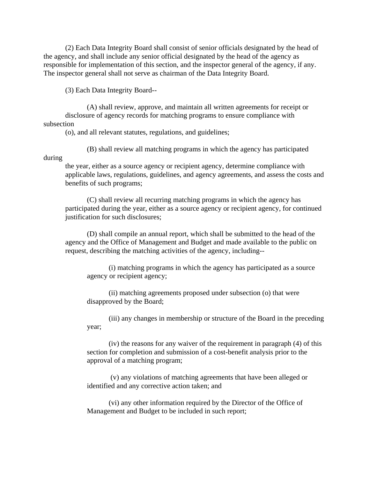(2) Each Data Integrity Board shall consist of senior officials designated by the head of the agency, and shall include any senior official designated by the head of the agency as responsible for implementation of this section, and the inspector general of the agency, if any. The inspector general shall not serve as chairman of the Data Integrity Board.

(3) Each Data Integrity Board--

(A) shall review, approve, and maintain all written agreements for receipt or disclosure of agency records for matching programs to ensure compliance with subsection

(o), and all relevant statutes, regulations, and guidelines;

(B) shall review all matching programs in which the agency has participated

# during

the year, either as a source agency or recipient agency, determine compliance with applicable laws, regulations, guidelines, and agency agreements, and assess the costs and benefits of such programs;

(C) shall review all recurring matching programs in which the agency has participated during the year, either as a source agency or recipient agency, for continued justification for such disclosures;

(D) shall compile an annual report, which shall be submitted to the head of the agency and the Office of Management and Budget and made available to the public on request, describing the matching activities of the agency, including--

(i) matching programs in which the agency has participated as a source agency or recipient agency;

(ii) matching agreements proposed under subsection (o) that were disapproved by the Board;

(iii) any changes in membership or structure of the Board in the preceding year;

(iv) the reasons for any waiver of the requirement in paragraph (4) of this section for completion and submission of a cost-benefit analysis prior to the approval of a matching program;

 (v) any violations of matching agreements that have been alleged or identified and any corrective action taken; and

(vi) any other information required by the Director of the Office of Management and Budget to be included in such report;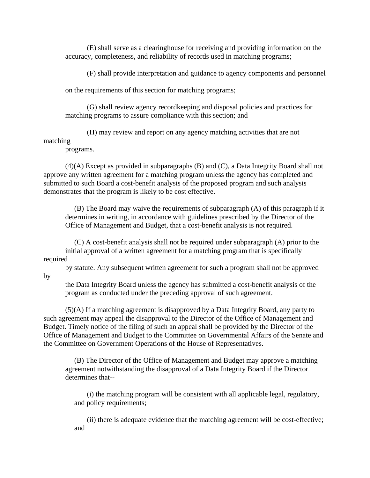(E) shall serve as a clearinghouse for receiving and providing information on the accuracy, completeness, and reliability of records used in matching programs;

(F) shall provide interpretation and guidance to agency components and personnel

on the requirements of this section for matching programs;

(G) shall review agency recordkeeping and disposal policies and practices for matching programs to assure compliance with this section; and

(H) may review and report on any agency matching activities that are not matching

#### programs.

(4)(A) Except as provided in subparagraphs (B) and (C), a Data Integrity Board shall not approve any written agreement for a matching program unless the agency has completed and submitted to such Board a cost-benefit analysis of the proposed program and such analysis demonstrates that the program is likely to be cost effective.

 (B) The Board may waive the requirements of subparagraph (A) of this paragraph if it determines in writing, in accordance with guidelines prescribed by the Director of the Office of Management and Budget, that a cost-benefit analysis is not required.

 (C) A cost-benefit analysis shall not be required under subparagraph (A) prior to the initial approval of a written agreement for a matching program that is specifically required

by statute. Any subsequent written agreement for such a program shall not be approved by

the Data Integrity Board unless the agency has submitted a cost-benefit analysis of the program as conducted under the preceding approval of such agreement.

(5)(A) If a matching agreement is disapproved by a Data Integrity Board, any party to such agreement may appeal the disapproval to the Director of the Office of Management and Budget. Timely notice of the filing of such an appeal shall be provided by the Director of the Office of Management and Budget to the Committee on Governmental Affairs of the Senate and the Committee on Government Operations of the House of Representatives.

 (B) The Director of the Office of Management and Budget may approve a matching agreement notwithstanding the disapproval of a Data Integrity Board if the Director determines that--

(i) the matching program will be consistent with all applicable legal, regulatory, and policy requirements;

(ii) there is adequate evidence that the matching agreement will be cost-effective; and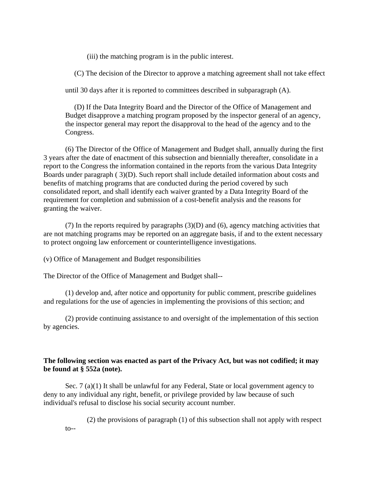(iii) the matching program is in the public interest.

(C) The decision of the Director to approve a matching agreement shall not take effect

until 30 days after it is reported to committees described in subparagraph (A).

 (D) If the Data Integrity Board and the Director of the Office of Management and Budget disapprove a matching program proposed by the inspector general of an agency, the inspector general may report the disapproval to the head of the agency and to the Congress.

(6) The Director of the Office of Management and Budget shall, annually during the first 3 years after the date of enactment of this subsection and biennially thereafter, consolidate in a report to the Congress the information contained in the reports from the various Data Integrity Boards under paragraph ( 3)(D). Such report shall include detailed information about costs and benefits of matching programs that are conducted during the period covered by such consolidated report, and shall identify each waiver granted by a Data Integrity Board of the requirement for completion and submission of a cost-benefit analysis and the reasons for granting the waiver.

(7) In the reports required by paragraphs (3)(D) and (6), agency matching activities that are not matching programs may be reported on an aggregate basis, if and to the extent necessary to protect ongoing law enforcement or counterintelligence investigations.

(v) Office of Management and Budget responsibilities

The Director of the Office of Management and Budget shall--

(1) develop and, after notice and opportunity for public comment, prescribe guidelines and regulations for the use of agencies in implementing the provisions of this section; and

(2) provide continuing assistance to and oversight of the implementation of this section by agencies.

## **The following section was enacted as part of the Privacy Act, but was not codified; it may be found at § 552a (note).**

Sec. 7 (a)(1) It shall be unlawful for any Federal, State or local government agency to deny to any individual any right, benefit, or privilege provided by law because of such individual's refusal to disclose his social security account number.

(2) the provisions of paragraph (1) of this subsection shall not apply with respect to--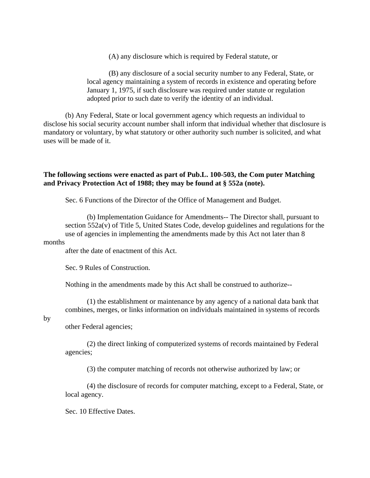(A) any disclosure which is required by Federal statute, or

(B) any disclosure of a social security number to any Federal, State, or local agency maintaining a system of records in existence and operating before January 1, 1975, if such disclosure was required under statute or regulation adopted prior to such date to verify the identity of an individual.

(b) Any Federal, State or local government agency which requests an individual to disclose his social security account number shall inform that individual whether that disclosure is mandatory or voluntary, by what statutory or other authority such number is solicited, and what uses will be made of it.

#### **The following sections were enacted as part of Pub.L. 100-503, the Com puter Matching and Privacy Protection Act of 1988; they may be found at § 552a (note).**

Sec. 6 Functions of the Director of the Office of Management and Budget.

(b) Implementation Guidance for Amendments-- The Director shall, pursuant to section 552a(v) of Title 5, United States Code, develop guidelines and regulations for the use of agencies in implementing the amendments made by this Act not later than 8

#### months

after the date of enactment of this Act.

Sec. 9 Rules of Construction.

Nothing in the amendments made by this Act shall be construed to authorize--

(1) the establishment or maintenance by any agency of a national data bank that combines, merges, or links information on individuals maintained in systems of records

by

other Federal agencies;

(2) the direct linking of computerized systems of records maintained by Federal agencies;

(3) the computer matching of records not otherwise authorized by law; or

(4) the disclosure of records for computer matching, except to a Federal, State, or local agency.

Sec. 10 Effective Dates.